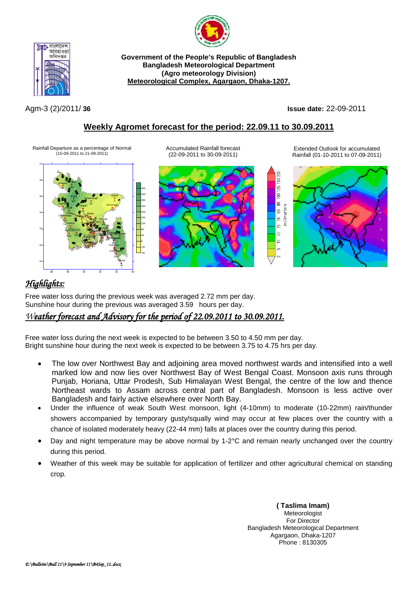

**Government of the People's Republic of Bangladesh Bangladesh Meteorological Department (Agro meteorology Division) Meteorological Complex, Agargaon, Dhaka-1207.**

বাংলাদেশ আবহাওয়া অধিদপ্তব

Agm-3 (2)/2011/ **36 Issue date:** 22-09-2011

# **Weekly Agromet forecast for the period: 22.09.11 to 30.09.2011**

Rainfall Departure as a percentage of Normal (15-09-2011 to 21-09-2011)



Accumulated Rainfall forecast (22-09-2011 to 30-09-2011)



Extended Outlook for accumulated Rainfall (01-10-2011 to 07-09-2011)



# *Highlights:*

Free water loss during the previous week was averaged 2.72 mm per day. Sunshine hour during the previous was averaged 3.59 hours per day.

## *Weather forecast and Advisory for the period of 22.09.2011 to 30.09.2011.*

Free water loss during the next week is expected to be between 3.50 to 4.50 mm per day. Bright sunshine hour during the next week is expected to be between 3.75 to 4.75 hrs per day.

- The low over Northwest Bay and adjoining area moved northwest wards and intensified into a well marked low and now lies over Northwest Bay of West Bengal Coast. Monsoon axis runs through Punjab, Horiana, Uttar Prodesh, Sub Himalayan West Bengal, the centre of the low and thence Northeast wards to Assam across central part of Bangladesh. Monsoon is less active over Bangladesh and fairly active elsewhere over North Bay.
- Under the influence of weak South West monsoon, light (4-10mm) to moderate (10-22mm) rain/thunder showers accompanied by temporary gusty/squally wind may occur at few places over the country with a chance of isolated moderately heavy (22-44 mm) falls at places over the country during this period.
- Day and night temperature may be above normal by 1-2°C and remain nearly unchanged over the country during this period.
- Weather of this week may be suitable for application of fertilizer and other agricultural chemical on standing crop.

**( Taslima Imam)** Meteorologist For Director Bangladesh Meteorological Department Agargaon, Dhaka-1207 Phone : 8130305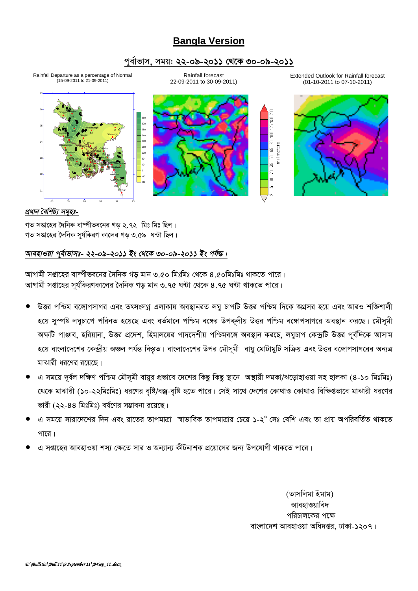# **Bangla Version**

## *c~e©vfvm, mgq: 22-09-2011 †\_‡K 30-09-2011*



Extended Outlook for Rainfall forecast (01-10-2011 to 07-10-2011)



### *প্ৰধান বৈশিষ্ট্য সমূহঃ-*

গত সপ্তাহের দৈনিক বাষ্পীভবনের গড় ২.৭২ মিঃ মিঃ ছিল।  $\frac{1}{2}$ সপ্তাহের দৈনিক সর্যকিরণ কালের গড় ৩.৫৯ ঘন্টা ছিল।

88 89 90 91 92 93

## *আবহাওয়া প্*ৰ্বাভাসঃ- ২২-০৯-২০১১ ইং থেকে ৩০-০৯-২০১১ ইং পৰ্যন্ত।

স্মাগামী সপ্তাহের বাম্পীভবনের দৈনিক গড় মান ৩.৫০ মিঃমিঃ থেকে ৪.৫০মিঃমিঃ থাকতে পারে। স্মাগামী সপ্তাহের সূর্যকিরণকালের দৈনিক গড় মান ৩.৭৫ ঘন্টা থেকে ৪.৭৫ ঘন্টা থাকতে পারে।

- উত্তর পশ্চিম বঙ্গোপসাগর এবং তৎসংলগ্ন এলাকায় অবস্থানরত লঘু চাপটি উত্তর পশ্চিম দিকে অগ্রসর হয়ে এবং আরও শক্তিশালী হয়ে সুস্পষ্ট লঘুচাপে পরিনত হয়েছে এবং বর্তমানে পশ্চিম বঙ্গের উপকূলীয় উত্তর পশ্চিম বঙ্গোপসাগরে অবস্থান করছে। মৌসমী *অক্ষ*টি পাঞ্জাব, হরিয়ানা, উত্তর প্রদেশ, হিমালয়ের পাদদেশীয় পশ্চিমবঙ্গে অবস্থান করছে, লঘুচাপ কেন্দ্রটি উত্তর পূর্বদিকে আসাম *হ*য়ে বাংলাদেশের কেন্দ্রীয় অঞ্চল পর্যন্ত বিস্তৃত। বাংলাদেশের উপর মৌসূমী বায়ু মোটামুটি সক্রিয় এবং উত্তর বঙ্গোপসাগরের অন্যত্র মাঝারী ধরণের রয়েছে।
- *G mg‡q `~e©j `wÿY cwðg †gŠm~gx evqyi cÖfv‡e ‡`‡ki wKQz wKQz ¯'v‡b A¯'vqx `gKv/S‡ovnvIqv mn nvjKv (4-10 wgtwgt) ‡\_‡K gvSvix (10-22wgtwgt) ai‡Yi e"wó/eRª-e"wó n‡Z cv‡i| †mB mv‡\_ †`‡ki †Kv\_vI †Kv\_vI wewÿßfv‡e gvSvix ai‡Yi ভা*রী (২২-৪৪ মিঃমিঃ) বর্ষণের সম্ভাবনা রয়েছে।
- *G mg‡q mviv‡`‡ki w`b Ges iv‡Zi ZvcgvÎv ¯^vfvweK ZvcgvÎvi †P‡q 1-2<sup>0</sup> †mt †ewk Ges Zv cÖvq AcwiewZ©Z \_vK‡Z*  <u>পারে।</u>
- *G mßv‡ni AvenvIqv km¨ †ÿ‡Z mvi I Ab¨vb¨ KxUbvkK cÖ‡qv‡Mi Rb¨ Dc‡hvMx \_vK‡Z cv‡i|*

*(Zvmwjgv Bgvg)* আবহাওয়াবিদ পরিচালকের পক্ষে বাংলাদেশ আবহাওয়া অধিদপ্তর, ঢাকা-১২০৭।